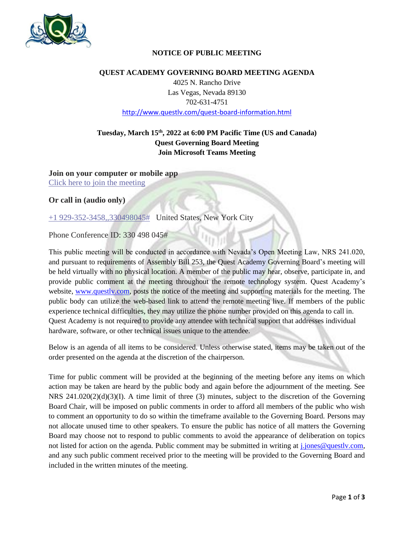

## **NOTICE OF PUBLIC MEETING**

### **QUEST ACADEMY GOVERNING BOARD MEETING AGENDA**

4025 N. Rancho Drive Las Vegas, Nevada 89130 702-631-4751 <http://www.questlv.com/quest-board-information.html>

# **Tuesday, March 15th , 2022 at 6:00 PM Pacific Time (US and Canada) Quest Governing Board Meeting Join Microsoft Teams Meeting**

**Join on your computer or mobile app** [Click here to join the meeting](https://teams.microsoft.com/l/meetup-join/19%3a671c1f5ecdbf4d0783db3783e5d41067%40thread.tacv2/1638834354094?context=%7b%22Tid%22%3a%227a4ff53f-4916-461e-8a03-1ade560cd7bf%22%2c%22Oid%22%3a%22f7f24eac-ff27-43e4-9d30-fdd3fe4a177f%22%7d)

**Or call in (audio only)**

[+1 929-352-3458,,330498045#](tel:+19293523458,,330498045# ) United States, New York City

Phone Conference ID: 330 498 045#

This public meeting will be conducted in accordance with Nevada's Open Meeting Law, NRS 241.020, and pursuant to requirements of Assembly Bill 253, the Quest Academy Governing Board's meeting will be held virtually with no physical location. A member of the public may hear, observe, participate in, and provide public comment at the meeting throughout the remote technology system. Quest Academy's website, [www.questlv.com,](http://www.questlv.com/) posts the notice of the meeting and supporting materials for the meeting. The public body can utilize the web-based link to attend the remote meeting live. If members of the public experience technical difficulties, they may utilize the phone number provided on this agenda to call in. Quest Academy is not required to provide any attendee with technical support that addresses individual hardware, software, or other technical issues unique to the attendee.

Below is an agenda of all items to be considered. Unless otherwise stated, items may be taken out of the order presented on the agenda at the discretion of the chairperson.

Time for public comment will be provided at the beginning of the meeting before any items on which action may be taken are heard by the public body and again before the adjournment of the meeting. See NRS 241.020(2)(d)(3)(I). A time limit of three (3) minutes, subject to the discretion of the Governing Board Chair, will be imposed on public comments in order to afford all members of the public who wish to comment an opportunity to do so within the timeframe available to the Governing Board. Persons may not allocate unused time to other speakers. To ensure the public has notice of all matters the Governing Board may choose not to respond to public comments to avoid the appearance of deliberation on topics not listed for action on the agenda. Public comment may be submitted in writing at *j.jones@questlv.com*, and any such public comment received prior to the meeting will be provided to the Governing Board and included in the written minutes of the meeting.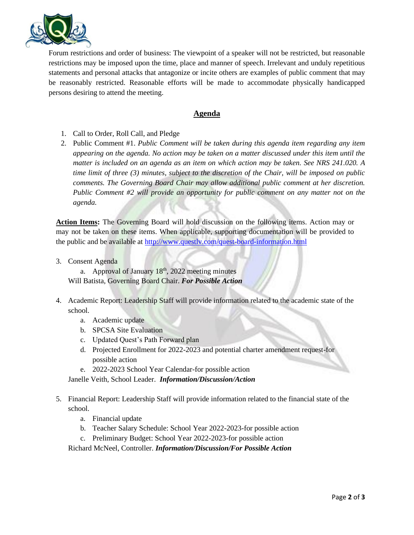

Forum restrictions and order of business: The viewpoint of a speaker will not be restricted, but reasonable restrictions may be imposed upon the time, place and manner of speech. Irrelevant and unduly repetitious statements and personal attacks that antagonize or incite others are examples of public comment that may be reasonably restricted. Reasonable efforts will be made to accommodate physically handicapped persons desiring to attend the meeting.

## **Agenda**

- 1. Call to Order, Roll Call, and Pledge
- 2. Public Comment #1. *Public Comment will be taken during this agenda item regarding any item appearing on the agenda. No action may be taken on a matter discussed under this item until the matter is included on an agenda as an item on which action may be taken. See NRS 241.020. A time limit of three (3) minutes, subject to the discretion of the Chair, will be imposed on public comments. The Governing Board Chair may allow additional public comment at her discretion. Public Comment #2 will provide an opportunity for public comment on any matter not on the agenda.*

**Action Items:** The Governing Board will hold discussion on the following items. Action may or may not be taken on these items. When applicable, supporting documentation will be provided to the public and be available at http://www.questly.com/quest-board-information.html

3. Consent Agenda

a. Approval of January  $18<sup>th</sup>$ , 2022 meeting minutes Will Batista, Governing Board Chair. *For Possible Action*

- 4. Academic Report: Leadership Staff will provide information related to the academic state of the school.
	- a. Academic update
	- b. SPCSA Site Evaluation
	- c. Updated Quest's Path Forward plan
	- d. Projected Enrollment for 2022-2023 and potential charter amendment request-for possible action
	- e. 2022-2023 School Year Calendar-for possible action

Janelle Veith, School Leader. *Information/Discussion/Action*

- 5. Financial Report: Leadership Staff will provide information related to the financial state of the school.
	- a. Financial update
	- b. Teacher Salary Schedule: School Year 2022-2023-for possible action
	- c. Preliminary Budget: School Year 2022-2023-for possible action

Richard McNeel, Controller. *Information/Discussion/For Possible Action*